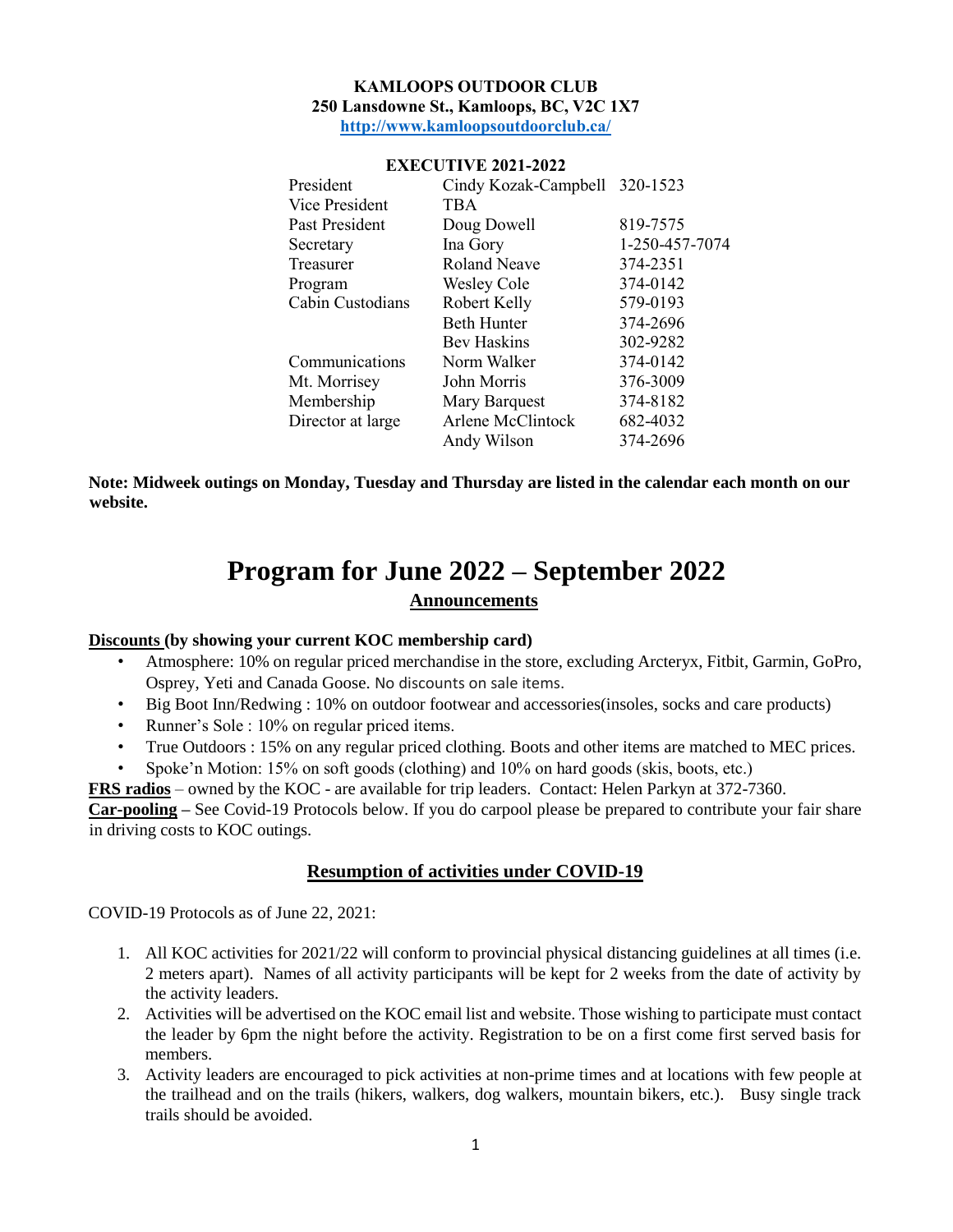#### **KAMLOOPS OUTDOOR CLUB 250 Lansdowne St., Kamloops, BC, V2C 1X7 <http://www.kamloopsoutdoorclub.ca/>**

| President         | Cindy Kozak-Campbell 320-1523 |                |
|-------------------|-------------------------------|----------------|
| Vice President    | <b>TBA</b>                    |                |
| Past President    | Doug Dowell                   | 819-7575       |
| Secretary         | Ina Gory                      | 1-250-457-7074 |
| Treasurer         | <b>Roland Neave</b>           | 374-2351       |
| Program           | <b>Wesley Cole</b>            | 374-0142       |
| Cabin Custodians  | Robert Kelly                  | 579-0193       |
|                   | <b>Beth Hunter</b>            | 374-2696       |
|                   | Bev Haskins                   | 302-9282       |
| Communications    | Norm Walker                   | 374-0142       |
| Mt. Morrisey      | John Morris                   | 376-3009       |
| Membership        | Mary Barquest                 | 374-8182       |
| Director at large | Arlene McClintock             | 682-4032       |
|                   | Andy Wilson                   | 374-2696       |

#### **EXECUTIVE 2021-2022**

**Note: Midweek outings on Monday, Tuesday and Thursday are listed in the calendar each month on our website.**

# **Program for June 2022 – September 2022**

## **Announcements**

#### **Discounts (by showing your current KOC membership card)**

- Atmosphere: 10% on regular priced merchandise in the store, excluding Arcteryx, Fitbit, Garmin, GoPro, Osprey, Yeti and Canada Goose. No discounts on sale items.
- Big Boot Inn/Redwing : 10% on outdoor footwear and accessories(insoles, socks and care products)
- Runner's Sole : 10% on regular priced items.
- True Outdoors : 15% on any regular priced clothing. Boots and other items are matched to MEC prices.
- Spoke'n Motion: 15% on soft goods (clothing) and 10% on hard goods (skis, boots, etc.)

**FRS radios** – owned by the KOC - are available for trip leaders. Contact: Helen Parkyn at 372-7360.

**Car-pooling –** See Covid-19 Protocols below. If you do carpool please be prepared to contribute your fair share in driving costs to KOC outings.

#### **Resumption of activities under COVID-19**

COVID-19 Protocols as of June 22, 2021:

- 1. All KOC activities for 2021/22 will conform to provincial physical distancing guidelines at all times (i.e. 2 meters apart). Names of all activity participants will be kept for 2 weeks from the date of activity by the activity leaders.
- 2. Activities will be advertised on the KOC email list and website. Those wishing to participate must contact the leader by 6pm the night before the activity. Registration to be on a first come first served basis for members.
- 3. Activity leaders are encouraged to pick activities at non-prime times and at locations with few people at the trailhead and on the trails (hikers, walkers, dog walkers, mountain bikers, etc.). Busy single track trails should be avoided.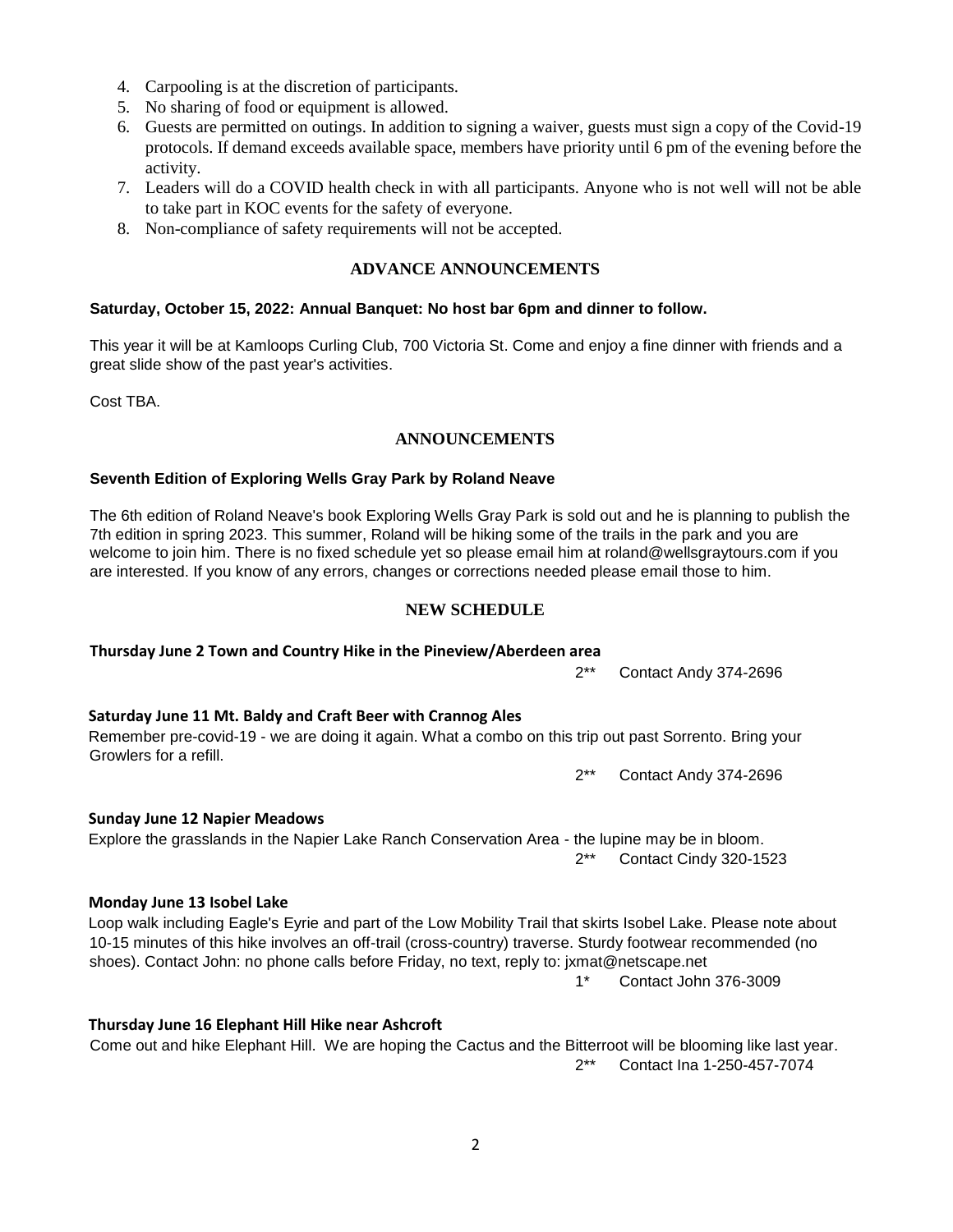2

- 4. Carpooling is at the discretion of participants.
- 5. No sharing of food or equipment is allowed.
- 6. Guests are permitted on outings. In addition to signing a waiver, guests must sign a copy of the Covid-19 protocols. If demand exceeds available space, members have priority until 6 pm of the evening before the activity.
- 7. Leaders will do a COVID health check in with all participants. Anyone who is not well will not be able to take part in KOC events for the safety of everyone.
- 8. Non-compliance of safety requirements will not be accepted.

## **ADVANCE ANNOUNCEMENTS**

#### **Saturday, October 15, 2022: Annual Banquet: No host bar 6pm and dinner to follow.**

This year it will be at Kamloops Curling Club, 700 Victoria St. Come and enjoy a fine dinner with friends and a great slide show of the past year's activities.

Cost TBA.

## **ANNOUNCEMENTS**

#### **Seventh Edition of Exploring Wells Gray Park by Roland Neave**

The 6th edition of Roland Neave's book Exploring Wells Gray Park is sold out and he is planning to publish the 7th edition in spring 2023. This summer, Roland will be hiking some of the trails in the park and you are welcome to join him. There is no fixed schedule yet so please email him at roland@wellsgraytours.com if you are interested. If you know of any errors, changes or corrections needed please email those to him.

## **NEW SCHEDULE**

## **Thursday June 2 Town and Country Hike in the Pineview/Aberdeen area**

2\*\* Contact Andy 374-2696

## **Saturday June 11 Mt. Baldy and Craft Beer with Crannog Ales**

#### Remember pre-covid-19 - we are doing it again. What a combo on this trip out past Sorrento. Bring your Growlers for a refill.

2\*\* Contact Andy 374-2696

## **Sunday June 12 Napier Meadows**

## Explore the grasslands in the Napier Lake Ranch Conservation Area - the lupine may be in bloom. 2\*\* Contact Cindy 320-1523

## **Monday June 13 Isobel Lake**

#### Loop walk including Eagle's Eyrie and part of the Low Mobility Trail that skirts Isobel Lake. Please note about 10-15 minutes of this hike involves an off-trail (cross-country) traverse. Sturdy footwear recommended (no shoes). Contact John: no phone calls before Friday, no text, reply to: jxmat@netscape.net 1\* Contact John 376-3009

## **Thursday June 16 Elephant Hill Hike near Ashcroft**

## Come out and hike Elephant Hill. We are hoping the Cactus and the Bitterroot will be blooming like last year. 2\*\* Contact Ina 1-250-457-7074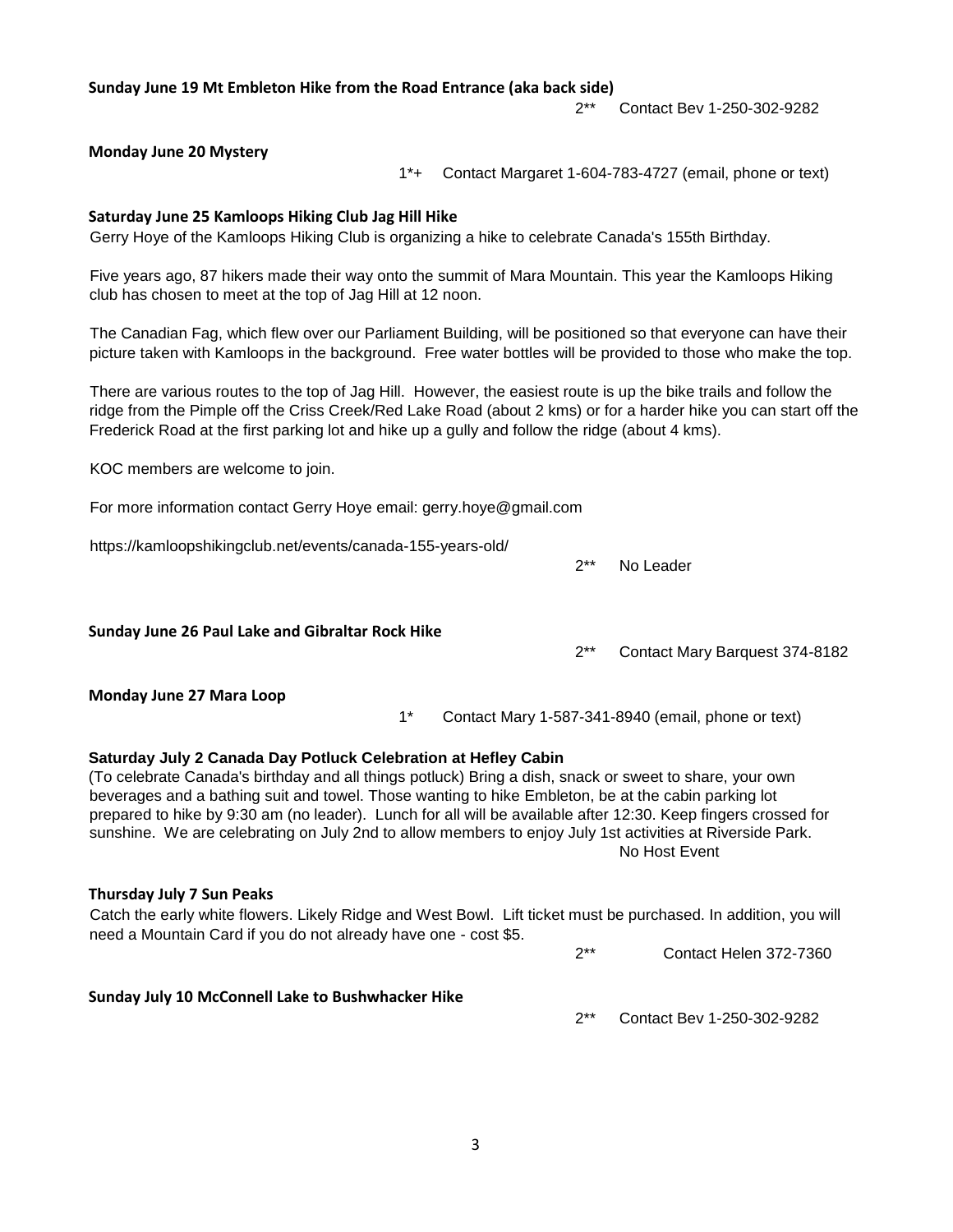**Sunday June 19 Mt Embleton Hike from the Road Entrance (aka back side)**

2\*\* Contact Bev 1-250-302-9282

#### **Monday June 20 Mystery**

1\*+ Contact Margaret 1-604-783-4727 (email, phone or text)

2\*\* No Leader

#### **Saturday June 25 Kamloops Hiking Club Jag Hill Hike**

Gerry Hoye of the Kamloops Hiking Club is organizing a hike to celebrate Canada's 155th Birthday.

Five years ago, 87 hikers made their way onto the summit of Mara Mountain. This year the Kamloops Hiking club has chosen to meet at the top of Jag Hill at 12 noon.

The Canadian Fag, which flew over our Parliament Building, will be positioned so that everyone can have their picture taken with Kamloops in the background. Free water bottles will be provided to those who make the top.

There are various routes to the top of Jag Hill. However, the easiest route is up the bike trails and follow the ridge from the Pimple off the Criss Creek/Red Lake Road (about 2 kms) or for a harder hike you can start off the Frederick Road at the first parking lot and hike up a gully and follow the ridge (about 4 kms).

KOC members are welcome to join.

For more information contact Gerry Hoye email: gerry.hoye@gmail.com

https://kamloopshikingclub.net/events/canada-155-years-old/

| Sunday June 26 Paul Lake and Gibraltar Rock Hike                                                                                                                                                                                                                                                                                                                                                                                                                                                                                 |       |  |  | $2**$ | Contact Mary Barquest 374-8182                     |
|----------------------------------------------------------------------------------------------------------------------------------------------------------------------------------------------------------------------------------------------------------------------------------------------------------------------------------------------------------------------------------------------------------------------------------------------------------------------------------------------------------------------------------|-------|--|--|-------|----------------------------------------------------|
| Monday June 27 Mara Loop                                                                                                                                                                                                                                                                                                                                                                                                                                                                                                         | $1^*$ |  |  |       | Contact Mary 1-587-341-8940 (email, phone or text) |
| Saturday July 2 Canada Day Potluck Celebration at Hefley Cabin<br>(To celebrate Canada's birthday and all things potluck) Bring a dish, snack or sweet to share, your own<br>beverages and a bathing suit and towel. Those wanting to hike Embleton, be at the cabin parking lot<br>prepared to hike by 9:30 am (no leader). Lunch for all will be available after 12:30. Keep fingers crossed for<br>sunshine. We are celebrating on July 2nd to allow members to enjoy July 1st activities at Riverside Park.<br>No Host Event |       |  |  |       |                                                    |
| Thursday July 7 Sun Peaks<br>Catch the early white flowers. Likely Ridge and West Bowl. Lift ticket must be purchased. In addition, you will<br>need a Mountain Card if you do not already have one - cost \$5.<br>$2**$<br>Contact Helen 372-7360                                                                                                                                                                                                                                                                               |       |  |  |       |                                                    |
| Sunday July 10 McConnell Lake to Bushwhacker Hike                                                                                                                                                                                                                                                                                                                                                                                                                                                                                |       |  |  | $2**$ | Contact Bev 1-250-302-9282                         |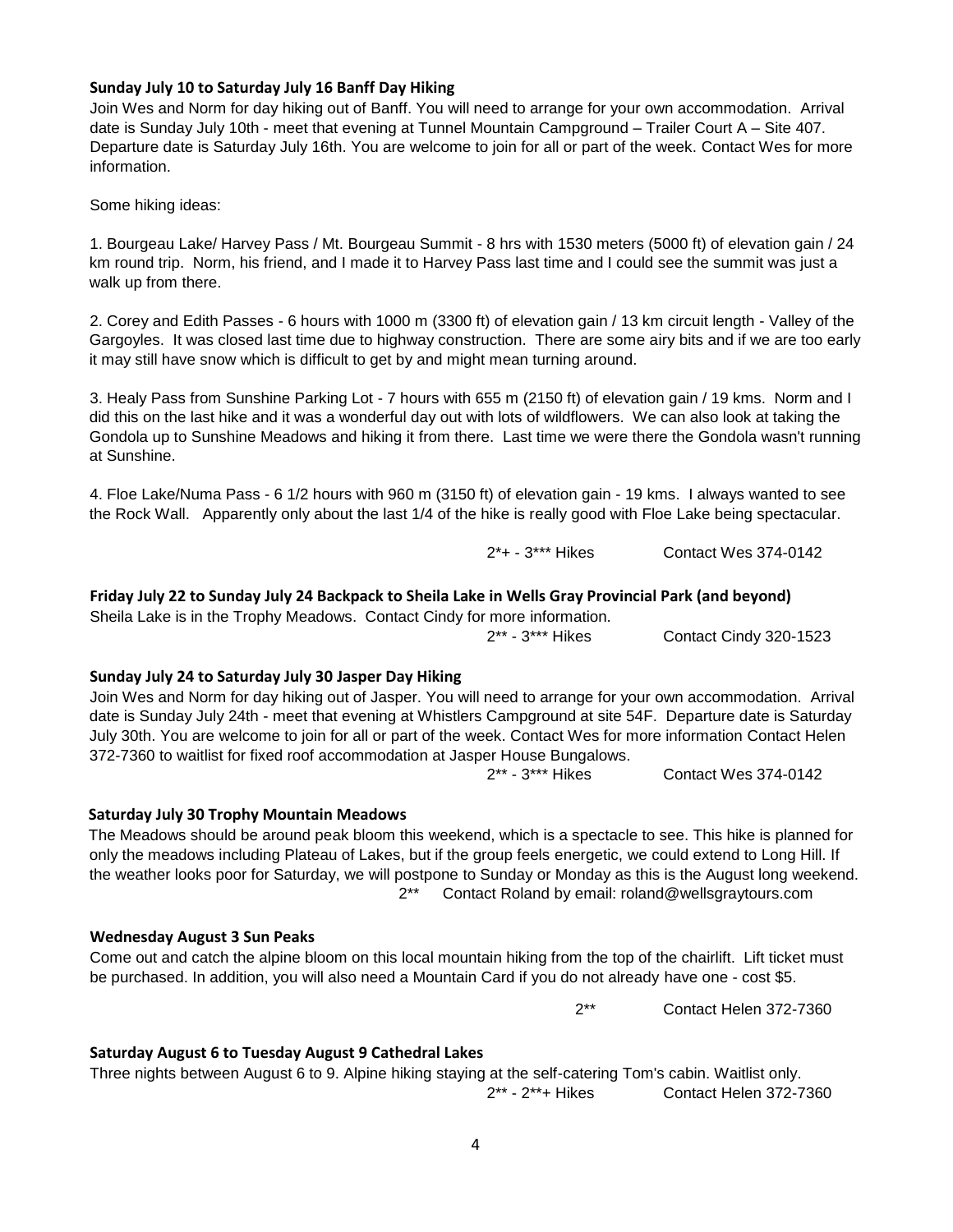#### **Sunday July 10 to Saturday July 16 Banff Day Hiking**

Join Wes and Norm for day hiking out of Banff. You will need to arrange for your own accommodation. Arrival date is Sunday July 10th - meet that evening at Tunnel Mountain Campground – Trailer Court A – Site 407. Departure date is Saturday July 16th. You are welcome to join for all or part of the week. Contact Wes for more information.

Some hiking ideas:

1. Bourgeau Lake/ Harvey Pass / Mt. Bourgeau Summit - 8 hrs with 1530 meters (5000 ft) of elevation gain / 24 km round trip. Norm, his friend, and I made it to Harvey Pass last time and I could see the summit was just a walk up from there.

2. Corey and Edith Passes - 6 hours with 1000 m (3300 ft) of elevation gain / 13 km circuit length - Valley of the Gargoyles. It was closed last time due to highway construction. There are some airy bits and if we are too early it may still have snow which is difficult to get by and might mean turning around.

3. Healy Pass from Sunshine Parking Lot - 7 hours with 655 m (2150 ft) of elevation gain / 19 kms. Norm and I did this on the last hike and it was a wonderful day out with lots of wildflowers. We can also look at taking the Gondola up to Sunshine Meadows and hiking it from there. Last time we were there the Gondola wasn't running at Sunshine.

4. Floe Lake/Numa Pass - 6 1/2 hours with 960 m (3150 ft) of elevation gain - 19 kms. I always wanted to see the Rock Wall. Apparently only about the last 1/4 of the hike is really good with Floe Lake being spectacular.

2\*+ - 3\*\*\* Hikes Contact Wes 374-0142

#### **Friday July 22 to Sunday July 24 Backpack to Sheila Lake in Wells Gray Provincial Park (and beyond)**

Sheila Lake is in the Trophy Meadows. Contact Cindy for more information.

2\*\* - 3\*\*\* Hikes Contact Cindy 320-1523

#### **Sunday July 24 to Saturday July 30 Jasper Day Hiking**

Join Wes and Norm for day hiking out of Jasper. You will need to arrange for your own accommodation. Arrival date is Sunday July 24th - meet that evening at Whistlers Campground at site 54F. Departure date is Saturday July 30th. You are welcome to join for all or part of the week. Contact Wes for more information Contact Helen 372-7360 to waitlist for fixed roof accommodation at Jasper House Bungalows.

2\*\* - 3\*\*\* Hikes Contact Wes 374-0142

#### **Saturday July 30 Trophy Mountain Meadows**

The Meadows should be around peak bloom this weekend, which is a spectacle to see. This hike is planned for only the meadows including Plateau of Lakes, but if the group feels energetic, we could extend to Long Hill. If the weather looks poor for Saturday, we will postpone to Sunday or Monday as this is the August long weekend. 2\*\* Contact Roland by email: roland@wellsgraytours.com

#### **Wednesday August 3 Sun Peaks**

Come out and catch the alpine bloom on this local mountain hiking from the top of the chairlift. Lift ticket must be purchased. In addition, you will also need a Mountain Card if you do not already have one - cost \$5.

2\*\* Contact Helen 372-7360

#### **Saturday August 6 to Tuesday August 9 Cathedral Lakes**

Three nights between August 6 to 9. Alpine hiking staying at the self-catering Tom's cabin. Waitlist only. 2\*\* - 2\*\*+ Hikes Contact Helen 372-7360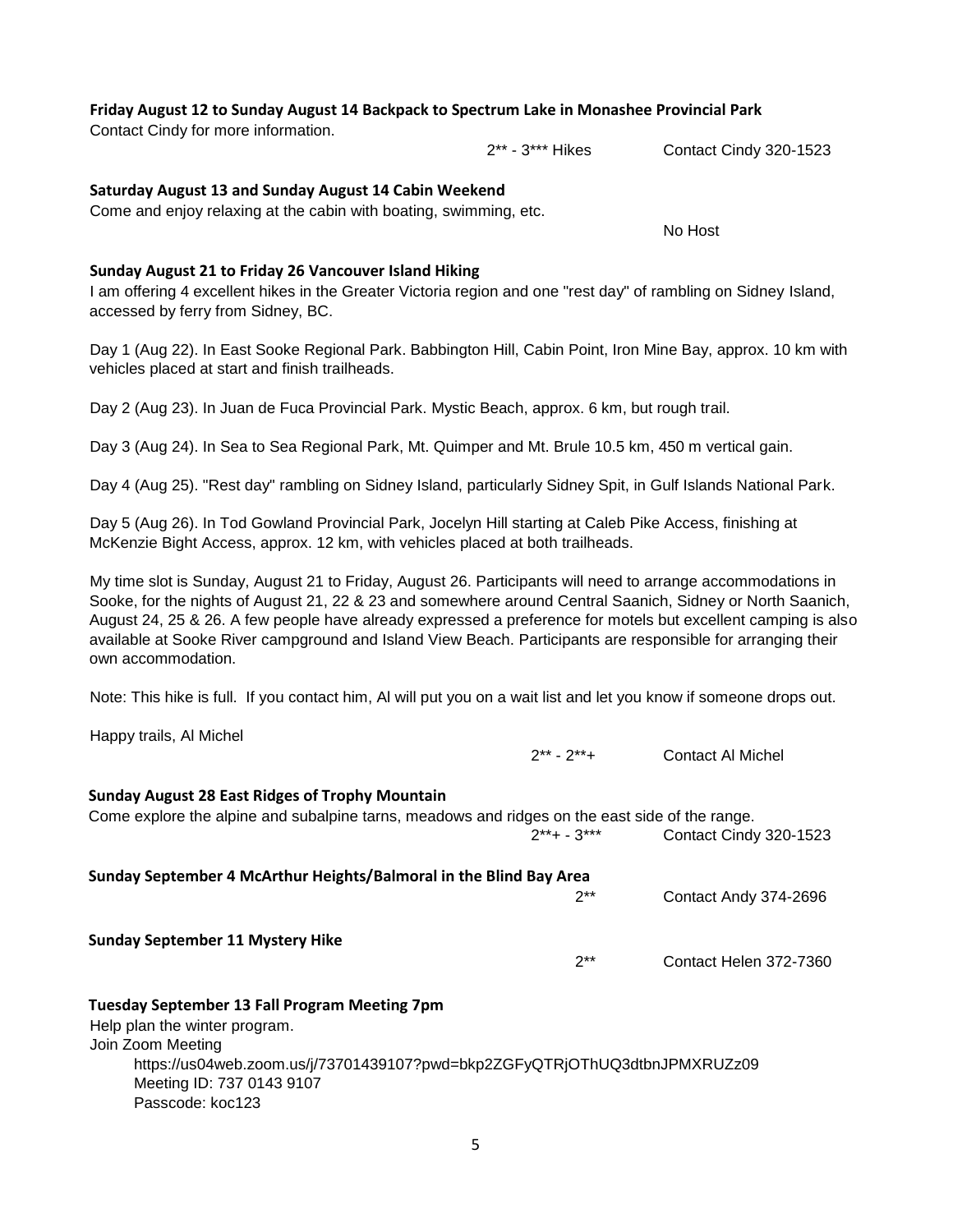## **Friday August 12 to Sunday August 14 Backpack to Spectrum Lake in Monashee Provincial Park**

Contact Cindy for more information.

#### **Saturday August 13 and Sunday August 14 Cabin Weekend**

Come and enjoy relaxing at the cabin with boating, swimming, etc.

#### **Sunday August 21 to Friday 26 Vancouver Island Hiking**

I am offering 4 excellent hikes in the Greater Victoria region and one "rest day" of rambling on Sidney Island, accessed by ferry from Sidney, BC.

Day 1 (Aug 22). In East Sooke Regional Park. Babbington Hill, Cabin Point, Iron Mine Bay, approx. 10 km with vehicles placed at start and finish trailheads.

Day 2 (Aug 23). In Juan de Fuca Provincial Park. Mystic Beach, approx. 6 km, but rough trail.

Day 3 (Aug 24). In Sea to Sea Regional Park, Mt. Quimper and Mt. Brule 10.5 km, 450 m vertical gain.

Day 4 (Aug 25). "Rest day" rambling on Sidney Island, particularly Sidney Spit, in Gulf Islands National Park.

Day 5 (Aug 26). In Tod Gowland Provincial Park, Jocelyn Hill starting at Caleb Pike Access, finishing at McKenzie Bight Access, approx. 12 km, with vehicles placed at both trailheads.

My time slot is Sunday, August 21 to Friday, August 26. Participants will need to arrange accommodations in Sooke, for the nights of August 21, 22 & 23 and somewhere around Central Saanich, Sidney or North Saanich, August 24, 25 & 26. A few people have already expressed a preference for motels but excellent camping is also available at Sooke River campground and Island View Beach. Participants are responsible for arranging their own accommodation.

Note: This hike is full. If you contact him, Al will put you on a wait list and let you know if someone drops out.

Happy trails, Al Michel

| <b>Sunday August 28 East Ridges of Trophy Mountain</b><br>Come explore the alpine and subalpine tarns, meadows and ridges on the east side of the range.                                                                                  | $2^{**}$ + - $3^{***}$ | Contact Cindy 320-1523 |
|-------------------------------------------------------------------------------------------------------------------------------------------------------------------------------------------------------------------------------------------|------------------------|------------------------|
| Sunday September 4 McArthur Heights/Balmoral in the Blind Bay Area                                                                                                                                                                        | $2**$                  | Contact Andy 374-2696  |
| <b>Sunday September 11 Mystery Hike</b>                                                                                                                                                                                                   | $2**$                  | Contact Helen 372-7360 |
| <b>Tuesday September 13 Fall Program Meeting 7pm</b><br>Help plan the winter program.<br>Join Zoom Meeting<br>https://us04web.zoom.us/j/73701439107?pwd=bkp2ZGFyQTRjOThUQ3dtbnJPMXRUZz09<br>Meeting ID: 737 0143 9107<br>Passcode: koc123 |                        |                        |

2\*\* - 3\*\*\* Hikes Contact Cindy 320-1523

No Host

2\*\* - 2\*\*+ Contact Al Michel